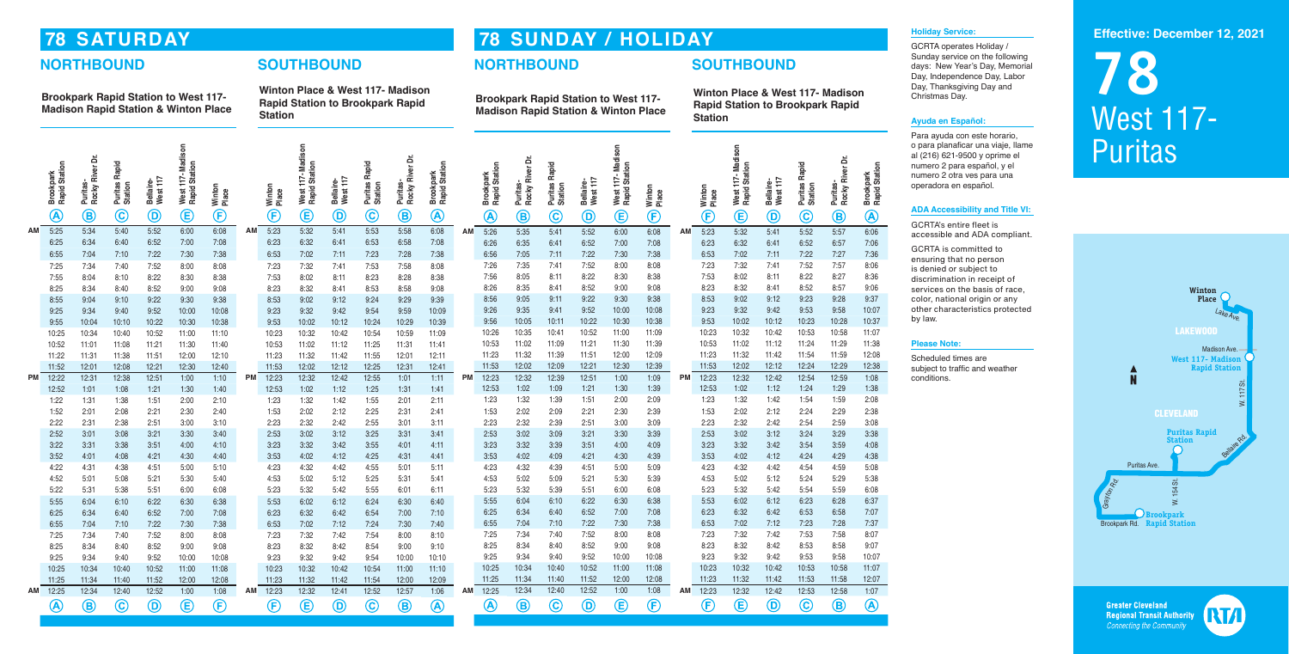## **78 SATURDAY**

## **NORTHBOUND SOUTHBOUND**

**Brookpark Rapid Station to West 117- Madison Rapid Station & Winton Place**

**Winton Place & West 117- Madison Rapid Station to Brookpark Rapid Station**

| $\bigoplus$<br>$\mathbf{\widehat{E}}$<br>$\bigoplus$<br>$\widehat{\bm{\epsilon}}$<br>$\bigcircledA$<br>$\copyright$<br>$\circledcirc$<br>$\mathbf{\widehat{c}}$<br>$\mathop{\mathsf{E}}$<br>$\bigcircledA$<br>$^\copyright$<br>$\circledB$<br>$\mathbf{\widehat{E}}$<br>$^\circledR$<br>$\copyright$<br>$\mathbf{\widehat{B}}$<br>$\bigcircledR$<br>$\mathbf{\widehat{c}}$<br>F)<br>$\textcircled{\scriptsize{D}}$<br>$\bigcirc$<br>$\textcircled{\scriptsize{B}}$<br>$^\copyright$<br>$\circledB$<br>6:08<br>6:06<br>5:25<br>5:52<br>6:00<br>6:08<br>5:23<br>5:58<br>5:32<br>5:53<br>5:26<br>5:34<br>5:40<br>5:41<br>5:52<br>6:00<br>6:08<br>5:23<br>5:32<br>5:52<br>5:57<br>AM<br>5:35<br>5:41<br>5:41<br>ΑМ<br>AM<br>AM<br>6:25<br>6:52<br>7:00<br>7:08<br>6:23<br>6:32<br>6:53<br>6:58<br>7:08<br>7:06<br>6:34<br>6:40<br>6:41<br>6:26<br>6:35<br>6:52<br>7:00<br>7:08<br>6:23<br>6:32<br>6:52<br>6:57<br>6:41<br>6:41<br>7:36<br>6:55<br>7:04<br>7:22<br>7:30<br>7:38<br>7:02<br>7:28<br>7:38<br>6:56<br>7:22<br>7:30<br>7:02<br>7:11<br>7:27<br>7:10<br>6:53<br>7:11<br>7:23<br>7:05<br>7:11<br>7:38<br>6:53<br>7:22<br>8:06<br>7:26<br>7:52<br>7:23<br>7:57<br>7:25<br>7:35<br>8:00<br>8:08<br>7:32<br>7:41<br>7:52<br>7:34<br>7:40<br>7:52<br>8:00<br>8:08<br>7:23<br>7:32<br>7:41<br>7:53<br>7:58<br>8:08<br>7:41<br>8:36<br>7:55<br>7:53<br>8:28<br>7:56<br>8:05<br>8:22<br>7:53<br>8:02<br>8:11<br>8:22<br>8:27<br>8:04<br>8:10<br>8:22<br>8:30<br>8:38<br>8:02<br>8:11<br>8:23<br>8:38<br>8:11<br>8:30<br>8:38<br>9:06<br>8:26<br>8:52<br>8:52<br>8:57<br>8:35<br>8:41<br>9:00<br>9:08<br>8:23<br>8:32<br>8:41<br>8:25<br>8:34<br>8:52<br>9:00<br>9:08<br>8:23<br>8:32<br>8:41<br>8:53<br>8:58<br>9:08<br>8:40<br>9:37<br>8:56<br>9:30<br>8:53<br>9:28<br>8:55<br>9:05<br>9:22<br>9:38<br>9:02<br>9:12<br>9:23<br>9:04<br>9:22<br>9:30<br>9:38<br>8:53<br>9:02<br>9:24<br>9:29<br>9:39<br>9:11<br>9:10<br>9:12<br>10:07<br>9:25<br>9:26<br>9:35<br>9:52<br>10:00<br>10:08<br>9:23<br>9:32<br>9:42<br>9:53<br>9:58<br>10:00<br>10:08<br>9:23<br>9:32<br>9:54<br>9:59<br>10:09<br>9:41<br>9:34<br>9:40<br>9:52<br>9:42<br>10:37<br>9:55<br>9:56<br>10:22<br>10:30<br>10:38<br>9:53<br>10:12<br>10:23<br>10:28<br>10:04<br>10:10<br>10:22<br>10:30<br>10:38<br>9:53<br>10:02<br>10:12<br>10:24<br>10:29<br>10:39<br>10:05<br>10:11<br>10:02<br>11:07<br>10:26<br>10:35<br>10:52<br>11:00<br>10:42<br>10:53<br>10:58<br>10:25<br>10:34<br>10:52<br>11:00<br>10:42<br>10:54<br>10:59<br>11:09<br>10:41<br>11:09<br>10:23<br>10:32<br>10:40<br>11:10<br>10:23<br>10:32<br>11:38<br>11:21<br>11:12<br>10:53<br>11:02<br>11:09<br>11:30<br>11:39<br>10:53<br>11:02<br>11:24<br>11:29<br>11:30<br>11:40<br>11:02<br>11:12<br>11:25<br>11:31<br>11:41<br>10:52<br>11:01<br>11:08<br>11:21<br>10:53<br>12:08<br>11:23<br>11:32<br>11:51<br>12:00<br>12:09<br>11:23<br>11:32<br>11:42<br>11:54<br>11:59<br>11:22<br>12:00<br>12:10<br>12:01<br>12:11<br>11:39<br>11:31<br>11:38<br>11:51<br>11:23<br>11:32<br>11:42<br>11:55<br>12:38<br>11:53<br>12:29<br>12:02<br>12:09<br>12:21<br>12:30<br>12:39<br>11:53<br>12:02<br>12:12<br>12:24<br>11:52<br>11:53<br>12:02<br>12:12<br>12:25<br>12:41<br>12:01<br>12:08<br>12:21<br>12:30<br>12:40<br>12:31<br>1:08<br>1:09<br>12:59<br>12:22<br>12:23<br>12:32<br>12:39<br>12:51<br>1:00<br>12:23<br>12:32<br>12:42<br>12:54<br>12:31<br>12:51<br>1:00<br>1:10<br>12:23<br>12:32<br>12:42<br>12:55<br>1:01<br>1:11<br><b>PM</b><br>РM<br>12:38<br>PM<br>РM<br>1:38<br>1:24<br>1:29<br>1:02<br>1:31<br>12:53<br>1:02<br>1:09<br>1:21<br>1:30<br>1:39<br>12:53<br>1:02<br>1:12<br>12:52<br>1:01<br>1:08<br>1:21<br>1:30<br>1:40<br>12:53<br>1:12<br>1:25<br>1:41<br>2:08<br>1:59<br>1:23<br>1:32<br>1:39<br>1:51<br>2:00<br>2:09<br>1:23<br>1:32<br>1:42<br>1:54<br>1:22<br>1:31<br>1:51<br>2:00<br>2:10<br>1:32<br>1:55<br>2:01<br>2:11<br>1:38<br>1:23<br>1:42<br>2:38<br>2:29<br>1:53<br>2:02<br>2:09<br>2:21<br>2:30<br>2:39<br>1:53<br>2:02<br>2:12<br>2:24<br>1:52<br>2:02<br>2:25<br>2:01<br>2:08<br>2:21<br>2:30<br>2:40<br>1:53<br>2:12<br>2:31<br>2:41<br>3:08<br>2:32<br>2:39<br>2:51<br>3:00<br>3:09<br>2:23<br>2:32<br>2:42<br>2:54<br>2:59<br>2:23<br>2:22<br>2:51<br>3:00<br>2:23<br>2:32<br>2:55<br>3:01<br>3:11<br>2:31<br>2:38<br>3:10<br>2:42<br>3:38<br>3:29<br>2:53<br>3:02<br>3:21<br>3:39<br>2:53<br>3:02<br>3:12<br>3:24<br>2:52<br>3:01<br>3:08<br>3:21<br>3:30<br>2:53<br>3:02<br>3:12<br>3:25<br>3:31<br>3:41<br>3:09<br>3:30<br>3:40<br>4:08<br>3:23<br>3:23<br>3:32<br>3:59<br>3:22<br>3:32<br>3:55<br>3:32<br>3:39<br>3:51<br>4:00<br>4:09<br>3:42<br>3:54<br>3:31<br>3:38<br>3:51<br>4:00<br>4:10<br>3:23<br>3:42<br>4:01<br>4:11<br>3:53<br>4:38<br>4:02<br>4:21<br>4:30<br>3:53<br>4:02<br>4:24<br>4:29<br>3:52<br>4:09<br>4:39<br>4:12<br>3:53<br>4:02<br>4:25<br>4:31<br>4:01<br>4:08<br>4:21<br>4:30<br>4:40<br>4:12<br>4:41<br>5:08<br>4:23<br>5:00<br>4:23<br>4:32<br>4:42<br>4:59<br>4:32<br>4:39<br>4:51<br>5:09<br>4:54<br>4:22<br>5:01<br>4:31<br>4:51<br>5:00<br>5:10<br>4:23<br>4:32<br>4:42<br>4:55<br>5:11<br>4:38<br>5:38<br>4:53<br>5:02<br>5:24<br>5:29<br>4:53<br>5:02<br>5:09<br>5:21<br>5:30<br>5:39<br>5:12<br>4:52<br>5:01<br>5:08<br>5:21<br>5:30<br>5:40<br>4:53<br>5:02<br>5:12<br>5:25<br>5:31<br>5:41<br>6:08<br>5:22<br>5:55<br>5:23<br>5:51<br>6:00<br>5:23<br>5:32<br>5:42<br>5:54<br>5:59<br>5:51<br>6:00<br>5:32<br>6:01<br>5:32<br>5:39<br>6:08<br>5:31<br>5:38<br>6:08<br>5:23<br>5:42<br>6:11<br>6:37<br>5:55<br>5:55<br>6:30<br>6:38<br>5:53<br>6:02<br>6:23<br>6:28<br>6:02<br>6:40<br>6:04<br>6:10<br>6:22<br>6:12<br>6:04<br>6:22<br>6:30<br>6:38<br>5:53<br>6:12<br>6:24<br>6:30<br>6:10<br>7:07<br>6:58<br>6:25<br>6:34<br>6:52<br>7:00<br>7:08<br>6:23<br>6:32<br>6:42<br>6:53<br>6:25<br>7:10<br>6:40<br>6:52<br>7:00<br>7:08<br>6:23<br>6:32<br>6:54<br>7:00<br>6:34<br>6:40<br>6:42<br>7:37<br>6:55<br>7:04<br>7:22<br>7:30<br>7:38<br>6:53<br>7:02<br>7:12<br>7:23<br>7:28<br>7:10<br>6:55<br>7:24<br>7:30<br>7:40<br>7:04<br>7:10<br>7:22<br>7:30<br>7:38<br>6:53<br>7:02<br>7:12<br>8:07<br>7:25<br>7:52<br>7:23<br>7:32<br>7:58<br>7:34<br>8:00<br>8:08<br>7:42<br>7:53<br>7:52<br>7:54<br>7:40<br>7:25<br>7:34<br>7:40<br>8:00<br>8:08<br>7:23<br>7:32<br>7:42<br>8:00<br>8:10<br>9:07<br>8:25<br>8:52<br>8:23<br>8:32<br>8:53<br>8:58<br>8:25<br>8:34<br>8:40<br>9:00<br>9:08<br>8:42<br>8:52<br>9:00<br>9:08<br>8:23<br>8:32<br>8:42<br>8:54<br>9:00<br>9:10<br>8:34<br>8:40<br>10:07<br>9:23<br>9:58<br>9:25<br>9:25<br>9:52<br>10:00<br>10:08<br>9:32<br>9:42<br>9:53<br>9:52<br>10:08<br>9:23<br>9:32<br>9:54<br>10:10<br>9:34<br>9:40<br>9:34<br>9:40<br>10:00<br>9:42<br>10:00<br>11:07<br>10:58<br>10:25<br>10:34<br>10:40<br>10:52<br>11:00<br>11:08<br>10:23<br>10:32<br>10:42<br>10:53<br>10:25<br>10:34<br>10:52<br>11:00<br>10:23<br>10:42<br>10:54<br>11:10<br>10:40<br>11:08<br>10:32<br>11:00<br>12:07<br>11:25<br>11:52<br>12:00<br>12:08<br>11:23<br>11:32<br>11:53<br>11:58<br>12:00<br>12:08<br>11:32<br>11:54<br>12:00<br>12:09<br>11:34<br>11:40<br>11:42<br>11:25<br>11:34<br>11:40<br>11:52<br>11:23<br>11:42<br>1:07<br>12:25<br>12:34<br>12:40<br>12:52<br>1:00<br>1:08<br>12:23<br>12:25<br>12:23<br>12:32<br>12:52<br>1:06<br>12:32<br>12:42<br>12:53<br>12:58<br>12:34<br>12:40<br>12:52<br>1:00<br>1:08<br>12:41<br>12:57<br>АM<br>ΑM<br><b>AM</b><br>AM |  | Brookpark<br>Rapid Station | Rocky River Dr.<br>Puritas- | <b>Puritas Rapid</b><br>Station | Bellaire-<br>West 117 | Madison<br>Rapid Station<br>West 117 | Winton<br>Place |  | Winton<br>Place | West 117-Madison<br>Rapid Station | West 117<br>Bellaire- | <b>Puritas Rapid</b><br>Station | Rocky River Dr.<br>Puritas- | Brookpark<br>Rapid Station |  | Brookpark<br>Rapid Station | Puritas-<br>Rocky River Dr. | <b>Puritas Rapid</b><br>Station | Bellaire-<br>West 117 | Madison<br>Rapid Station<br>West 117- | Winton<br>Place |  | Winton<br>Place | West 117-Madison<br>Rapid Station | Bellaire-<br>West 117 | Puritas Rapid<br>Station | Puritas-<br>Rocky River Dr. | Brookpark<br>Rapid Station |
|------------------------------------------------------------------------------------------------------------------------------------------------------------------------------------------------------------------------------------------------------------------------------------------------------------------------------------------------------------------------------------------------------------------------------------------------------------------------------------------------------------------------------------------------------------------------------------------------------------------------------------------------------------------------------------------------------------------------------------------------------------------------------------------------------------------------------------------------------------------------------------------------------------------------------------------------------------------------------------------------------------------------------------------------------------------------------------------------------------------------------------------------------------------------------------------------------------------------------------------------------------------------------------------------------------------------------------------------------------------------------------------------------------------------------------------------------------------------------------------------------------------------------------------------------------------------------------------------------------------------------------------------------------------------------------------------------------------------------------------------------------------------------------------------------------------------------------------------------------------------------------------------------------------------------------------------------------------------------------------------------------------------------------------------------------------------------------------------------------------------------------------------------------------------------------------------------------------------------------------------------------------------------------------------------------------------------------------------------------------------------------------------------------------------------------------------------------------------------------------------------------------------------------------------------------------------------------------------------------------------------------------------------------------------------------------------------------------------------------------------------------------------------------------------------------------------------------------------------------------------------------------------------------------------------------------------------------------------------------------------------------------------------------------------------------------------------------------------------------------------------------------------------------------------------------------------------------------------------------------------------------------------------------------------------------------------------------------------------------------------------------------------------------------------------------------------------------------------------------------------------------------------------------------------------------------------------------------------------------------------------------------------------------------------------------------------------------------------------------------------------------------------------------------------------------------------------------------------------------------------------------------------------------------------------------------------------------------------------------------------------------------------------------------------------------------------------------------------------------------------------------------------------------------------------------------------------------------------------------------------------------------------------------------------------------------------------------------------------------------------------------------------------------------------------------------------------------------------------------------------------------------------------------------------------------------------------------------------------------------------------------------------------------------------------------------------------------------------------------------------------------------------------------------------------------------------------------------------------------------------------------------------------------------------------------------------------------------------------------------------------------------------------------------------------------------------------------------------------------------------------------------------------------------------------------------------------------------------------------------------------------------------------------------------------------------------------------------------------------------------------------------------------------------------------------------------------------------------------------------------------------------------------------------------------------------------------------------------------------------------------------------------------------------------------------------------------------------------------------------------------------------------------------------------------------------------------------------------------------------------------------------------------------------------------------------------------------------------------------------------------------------------------------------------------------------------------------------------------------------------------------------------------------------------------------------------------------------------------------------------------------------------------------------------------------------------------------------------------------------------------------------------------------------------------------------------------------------------------------------------------------------------------------------------------------------------------------------------------------------------------------------------------------------------------------------------------------------------------------------------------------------------------------------------------------------------------------------------------------------------------------------------------------------------------------------------------------------------------------------------------------------------------------------------------------------------------------------------------------------------------------------------------------------------------------------------------------------------------------------------------------------------------------------------------------------------------------------------------------------------------------------------------------------|--|----------------------------|-----------------------------|---------------------------------|-----------------------|--------------------------------------|-----------------|--|-----------------|-----------------------------------|-----------------------|---------------------------------|-----------------------------|----------------------------|--|----------------------------|-----------------------------|---------------------------------|-----------------------|---------------------------------------|-----------------|--|-----------------|-----------------------------------|-----------------------|--------------------------|-----------------------------|----------------------------|
|                                                                                                                                                                                                                                                                                                                                                                                                                                                                                                                                                                                                                                                                                                                                                                                                                                                                                                                                                                                                                                                                                                                                                                                                                                                                                                                                                                                                                                                                                                                                                                                                                                                                                                                                                                                                                                                                                                                                                                                                                                                                                                                                                                                                                                                                                                                                                                                                                                                                                                                                                                                                                                                                                                                                                                                                                                                                                                                                                                                                                                                                                                                                                                                                                                                                                                                                                                                                                                                                                                                                                                                                                                                                                                                                                                                                                                                                                                                                                                                                                                                                                                                                                                                                                                                                                                                                                                                                                                                                                                                                                                                                                                                                                                                                                                                                                                                                                                                                                                                                                                                                                                                                                                                                                                                                                                                                                                                                                                                                                                                                                                                                                                                                                                                                                                                                                                                                                                                                                                                                                                                                                                                                                                                                                                                                                                                                                                                                                                                                                                                                                                                                                                                                                                                                                                                                                                                                                                                                                                                                                                                                                                                                                                                                                                                                                                                                                                                                                  |  |                            |                             |                                 |                       |                                      |                 |  |                 |                                   |                       |                                 |                             |                            |  |                            |                             |                                 |                       |                                       |                 |  |                 |                                   |                       |                          |                             |                            |
|                                                                                                                                                                                                                                                                                                                                                                                                                                                                                                                                                                                                                                                                                                                                                                                                                                                                                                                                                                                                                                                                                                                                                                                                                                                                                                                                                                                                                                                                                                                                                                                                                                                                                                                                                                                                                                                                                                                                                                                                                                                                                                                                                                                                                                                                                                                                                                                                                                                                                                                                                                                                                                                                                                                                                                                                                                                                                                                                                                                                                                                                                                                                                                                                                                                                                                                                                                                                                                                                                                                                                                                                                                                                                                                                                                                                                                                                                                                                                                                                                                                                                                                                                                                                                                                                                                                                                                                                                                                                                                                                                                                                                                                                                                                                                                                                                                                                                                                                                                                                                                                                                                                                                                                                                                                                                                                                                                                                                                                                                                                                                                                                                                                                                                                                                                                                                                                                                                                                                                                                                                                                                                                                                                                                                                                                                                                                                                                                                                                                                                                                                                                                                                                                                                                                                                                                                                                                                                                                                                                                                                                                                                                                                                                                                                                                                                                                                                                                                  |  |                            |                             |                                 |                       |                                      |                 |  |                 |                                   |                       |                                 |                             |                            |  |                            |                             |                                 |                       |                                       |                 |  |                 |                                   |                       |                          |                             |                            |
|                                                                                                                                                                                                                                                                                                                                                                                                                                                                                                                                                                                                                                                                                                                                                                                                                                                                                                                                                                                                                                                                                                                                                                                                                                                                                                                                                                                                                                                                                                                                                                                                                                                                                                                                                                                                                                                                                                                                                                                                                                                                                                                                                                                                                                                                                                                                                                                                                                                                                                                                                                                                                                                                                                                                                                                                                                                                                                                                                                                                                                                                                                                                                                                                                                                                                                                                                                                                                                                                                                                                                                                                                                                                                                                                                                                                                                                                                                                                                                                                                                                                                                                                                                                                                                                                                                                                                                                                                                                                                                                                                                                                                                                                                                                                                                                                                                                                                                                                                                                                                                                                                                                                                                                                                                                                                                                                                                                                                                                                                                                                                                                                                                                                                                                                                                                                                                                                                                                                                                                                                                                                                                                                                                                                                                                                                                                                                                                                                                                                                                                                                                                                                                                                                                                                                                                                                                                                                                                                                                                                                                                                                                                                                                                                                                                                                                                                                                                                                  |  |                            |                             |                                 |                       |                                      |                 |  |                 |                                   |                       |                                 |                             |                            |  |                            |                             |                                 |                       |                                       |                 |  |                 |                                   |                       |                          |                             |                            |
|                                                                                                                                                                                                                                                                                                                                                                                                                                                                                                                                                                                                                                                                                                                                                                                                                                                                                                                                                                                                                                                                                                                                                                                                                                                                                                                                                                                                                                                                                                                                                                                                                                                                                                                                                                                                                                                                                                                                                                                                                                                                                                                                                                                                                                                                                                                                                                                                                                                                                                                                                                                                                                                                                                                                                                                                                                                                                                                                                                                                                                                                                                                                                                                                                                                                                                                                                                                                                                                                                                                                                                                                                                                                                                                                                                                                                                                                                                                                                                                                                                                                                                                                                                                                                                                                                                                                                                                                                                                                                                                                                                                                                                                                                                                                                                                                                                                                                                                                                                                                                                                                                                                                                                                                                                                                                                                                                                                                                                                                                                                                                                                                                                                                                                                                                                                                                                                                                                                                                                                                                                                                                                                                                                                                                                                                                                                                                                                                                                                                                                                                                                                                                                                                                                                                                                                                                                                                                                                                                                                                                                                                                                                                                                                                                                                                                                                                                                                                                  |  |                            |                             |                                 |                       |                                      |                 |  |                 |                                   |                       |                                 |                             |                            |  |                            |                             |                                 |                       |                                       |                 |  |                 |                                   |                       |                          |                             |                            |
|                                                                                                                                                                                                                                                                                                                                                                                                                                                                                                                                                                                                                                                                                                                                                                                                                                                                                                                                                                                                                                                                                                                                                                                                                                                                                                                                                                                                                                                                                                                                                                                                                                                                                                                                                                                                                                                                                                                                                                                                                                                                                                                                                                                                                                                                                                                                                                                                                                                                                                                                                                                                                                                                                                                                                                                                                                                                                                                                                                                                                                                                                                                                                                                                                                                                                                                                                                                                                                                                                                                                                                                                                                                                                                                                                                                                                                                                                                                                                                                                                                                                                                                                                                                                                                                                                                                                                                                                                                                                                                                                                                                                                                                                                                                                                                                                                                                                                                                                                                                                                                                                                                                                                                                                                                                                                                                                                                                                                                                                                                                                                                                                                                                                                                                                                                                                                                                                                                                                                                                                                                                                                                                                                                                                                                                                                                                                                                                                                                                                                                                                                                                                                                                                                                                                                                                                                                                                                                                                                                                                                                                                                                                                                                                                                                                                                                                                                                                                                  |  |                            |                             |                                 |                       |                                      |                 |  |                 |                                   |                       |                                 |                             |                            |  |                            |                             |                                 |                       |                                       |                 |  |                 |                                   |                       |                          |                             |                            |
|                                                                                                                                                                                                                                                                                                                                                                                                                                                                                                                                                                                                                                                                                                                                                                                                                                                                                                                                                                                                                                                                                                                                                                                                                                                                                                                                                                                                                                                                                                                                                                                                                                                                                                                                                                                                                                                                                                                                                                                                                                                                                                                                                                                                                                                                                                                                                                                                                                                                                                                                                                                                                                                                                                                                                                                                                                                                                                                                                                                                                                                                                                                                                                                                                                                                                                                                                                                                                                                                                                                                                                                                                                                                                                                                                                                                                                                                                                                                                                                                                                                                                                                                                                                                                                                                                                                                                                                                                                                                                                                                                                                                                                                                                                                                                                                                                                                                                                                                                                                                                                                                                                                                                                                                                                                                                                                                                                                                                                                                                                                                                                                                                                                                                                                                                                                                                                                                                                                                                                                                                                                                                                                                                                                                                                                                                                                                                                                                                                                                                                                                                                                                                                                                                                                                                                                                                                                                                                                                                                                                                                                                                                                                                                                                                                                                                                                                                                                                                  |  |                            |                             |                                 |                       |                                      |                 |  |                 |                                   |                       |                                 |                             |                            |  |                            |                             |                                 |                       |                                       |                 |  |                 |                                   |                       |                          |                             |                            |
|                                                                                                                                                                                                                                                                                                                                                                                                                                                                                                                                                                                                                                                                                                                                                                                                                                                                                                                                                                                                                                                                                                                                                                                                                                                                                                                                                                                                                                                                                                                                                                                                                                                                                                                                                                                                                                                                                                                                                                                                                                                                                                                                                                                                                                                                                                                                                                                                                                                                                                                                                                                                                                                                                                                                                                                                                                                                                                                                                                                                                                                                                                                                                                                                                                                                                                                                                                                                                                                                                                                                                                                                                                                                                                                                                                                                                                                                                                                                                                                                                                                                                                                                                                                                                                                                                                                                                                                                                                                                                                                                                                                                                                                                                                                                                                                                                                                                                                                                                                                                                                                                                                                                                                                                                                                                                                                                                                                                                                                                                                                                                                                                                                                                                                                                                                                                                                                                                                                                                                                                                                                                                                                                                                                                                                                                                                                                                                                                                                                                                                                                                                                                                                                                                                                                                                                                                                                                                                                                                                                                                                                                                                                                                                                                                                                                                                                                                                                                                  |  |                            |                             |                                 |                       |                                      |                 |  |                 |                                   |                       |                                 |                             |                            |  |                            |                             |                                 |                       |                                       |                 |  |                 |                                   |                       |                          |                             |                            |
|                                                                                                                                                                                                                                                                                                                                                                                                                                                                                                                                                                                                                                                                                                                                                                                                                                                                                                                                                                                                                                                                                                                                                                                                                                                                                                                                                                                                                                                                                                                                                                                                                                                                                                                                                                                                                                                                                                                                                                                                                                                                                                                                                                                                                                                                                                                                                                                                                                                                                                                                                                                                                                                                                                                                                                                                                                                                                                                                                                                                                                                                                                                                                                                                                                                                                                                                                                                                                                                                                                                                                                                                                                                                                                                                                                                                                                                                                                                                                                                                                                                                                                                                                                                                                                                                                                                                                                                                                                                                                                                                                                                                                                                                                                                                                                                                                                                                                                                                                                                                                                                                                                                                                                                                                                                                                                                                                                                                                                                                                                                                                                                                                                                                                                                                                                                                                                                                                                                                                                                                                                                                                                                                                                                                                                                                                                                                                                                                                                                                                                                                                                                                                                                                                                                                                                                                                                                                                                                                                                                                                                                                                                                                                                                                                                                                                                                                                                                                                  |  |                            |                             |                                 |                       |                                      |                 |  |                 |                                   |                       |                                 |                             |                            |  |                            |                             |                                 |                       |                                       |                 |  |                 |                                   |                       |                          |                             |                            |
|                                                                                                                                                                                                                                                                                                                                                                                                                                                                                                                                                                                                                                                                                                                                                                                                                                                                                                                                                                                                                                                                                                                                                                                                                                                                                                                                                                                                                                                                                                                                                                                                                                                                                                                                                                                                                                                                                                                                                                                                                                                                                                                                                                                                                                                                                                                                                                                                                                                                                                                                                                                                                                                                                                                                                                                                                                                                                                                                                                                                                                                                                                                                                                                                                                                                                                                                                                                                                                                                                                                                                                                                                                                                                                                                                                                                                                                                                                                                                                                                                                                                                                                                                                                                                                                                                                                                                                                                                                                                                                                                                                                                                                                                                                                                                                                                                                                                                                                                                                                                                                                                                                                                                                                                                                                                                                                                                                                                                                                                                                                                                                                                                                                                                                                                                                                                                                                                                                                                                                                                                                                                                                                                                                                                                                                                                                                                                                                                                                                                                                                                                                                                                                                                                                                                                                                                                                                                                                                                                                                                                                                                                                                                                                                                                                                                                                                                                                                                                  |  |                            |                             |                                 |                       |                                      |                 |  |                 |                                   |                       |                                 |                             |                            |  |                            |                             |                                 |                       |                                       |                 |  |                 |                                   |                       |                          |                             |                            |
|                                                                                                                                                                                                                                                                                                                                                                                                                                                                                                                                                                                                                                                                                                                                                                                                                                                                                                                                                                                                                                                                                                                                                                                                                                                                                                                                                                                                                                                                                                                                                                                                                                                                                                                                                                                                                                                                                                                                                                                                                                                                                                                                                                                                                                                                                                                                                                                                                                                                                                                                                                                                                                                                                                                                                                                                                                                                                                                                                                                                                                                                                                                                                                                                                                                                                                                                                                                                                                                                                                                                                                                                                                                                                                                                                                                                                                                                                                                                                                                                                                                                                                                                                                                                                                                                                                                                                                                                                                                                                                                                                                                                                                                                                                                                                                                                                                                                                                                                                                                                                                                                                                                                                                                                                                                                                                                                                                                                                                                                                                                                                                                                                                                                                                                                                                                                                                                                                                                                                                                                                                                                                                                                                                                                                                                                                                                                                                                                                                                                                                                                                                                                                                                                                                                                                                                                                                                                                                                                                                                                                                                                                                                                                                                                                                                                                                                                                                                                                  |  |                            |                             |                                 |                       |                                      |                 |  |                 |                                   |                       |                                 |                             |                            |  |                            |                             |                                 |                       |                                       |                 |  |                 |                                   |                       |                          |                             |                            |
|                                                                                                                                                                                                                                                                                                                                                                                                                                                                                                                                                                                                                                                                                                                                                                                                                                                                                                                                                                                                                                                                                                                                                                                                                                                                                                                                                                                                                                                                                                                                                                                                                                                                                                                                                                                                                                                                                                                                                                                                                                                                                                                                                                                                                                                                                                                                                                                                                                                                                                                                                                                                                                                                                                                                                                                                                                                                                                                                                                                                                                                                                                                                                                                                                                                                                                                                                                                                                                                                                                                                                                                                                                                                                                                                                                                                                                                                                                                                                                                                                                                                                                                                                                                                                                                                                                                                                                                                                                                                                                                                                                                                                                                                                                                                                                                                                                                                                                                                                                                                                                                                                                                                                                                                                                                                                                                                                                                                                                                                                                                                                                                                                                                                                                                                                                                                                                                                                                                                                                                                                                                                                                                                                                                                                                                                                                                                                                                                                                                                                                                                                                                                                                                                                                                                                                                                                                                                                                                                                                                                                                                                                                                                                                                                                                                                                                                                                                                                                  |  |                            |                             |                                 |                       |                                      |                 |  |                 |                                   |                       |                                 |                             |                            |  |                            |                             |                                 |                       |                                       |                 |  |                 |                                   |                       |                          |                             |                            |
|                                                                                                                                                                                                                                                                                                                                                                                                                                                                                                                                                                                                                                                                                                                                                                                                                                                                                                                                                                                                                                                                                                                                                                                                                                                                                                                                                                                                                                                                                                                                                                                                                                                                                                                                                                                                                                                                                                                                                                                                                                                                                                                                                                                                                                                                                                                                                                                                                                                                                                                                                                                                                                                                                                                                                                                                                                                                                                                                                                                                                                                                                                                                                                                                                                                                                                                                                                                                                                                                                                                                                                                                                                                                                                                                                                                                                                                                                                                                                                                                                                                                                                                                                                                                                                                                                                                                                                                                                                                                                                                                                                                                                                                                                                                                                                                                                                                                                                                                                                                                                                                                                                                                                                                                                                                                                                                                                                                                                                                                                                                                                                                                                                                                                                                                                                                                                                                                                                                                                                                                                                                                                                                                                                                                                                                                                                                                                                                                                                                                                                                                                                                                                                                                                                                                                                                                                                                                                                                                                                                                                                                                                                                                                                                                                                                                                                                                                                                                                  |  |                            |                             |                                 |                       |                                      |                 |  |                 |                                   |                       |                                 |                             |                            |  |                            |                             |                                 |                       |                                       |                 |  |                 |                                   |                       |                          |                             |                            |
|                                                                                                                                                                                                                                                                                                                                                                                                                                                                                                                                                                                                                                                                                                                                                                                                                                                                                                                                                                                                                                                                                                                                                                                                                                                                                                                                                                                                                                                                                                                                                                                                                                                                                                                                                                                                                                                                                                                                                                                                                                                                                                                                                                                                                                                                                                                                                                                                                                                                                                                                                                                                                                                                                                                                                                                                                                                                                                                                                                                                                                                                                                                                                                                                                                                                                                                                                                                                                                                                                                                                                                                                                                                                                                                                                                                                                                                                                                                                                                                                                                                                                                                                                                                                                                                                                                                                                                                                                                                                                                                                                                                                                                                                                                                                                                                                                                                                                                                                                                                                                                                                                                                                                                                                                                                                                                                                                                                                                                                                                                                                                                                                                                                                                                                                                                                                                                                                                                                                                                                                                                                                                                                                                                                                                                                                                                                                                                                                                                                                                                                                                                                                                                                                                                                                                                                                                                                                                                                                                                                                                                                                                                                                                                                                                                                                                                                                                                                                                  |  |                            |                             |                                 |                       |                                      |                 |  |                 |                                   |                       |                                 |                             |                            |  |                            |                             |                                 |                       |                                       |                 |  |                 |                                   |                       |                          |                             |                            |
|                                                                                                                                                                                                                                                                                                                                                                                                                                                                                                                                                                                                                                                                                                                                                                                                                                                                                                                                                                                                                                                                                                                                                                                                                                                                                                                                                                                                                                                                                                                                                                                                                                                                                                                                                                                                                                                                                                                                                                                                                                                                                                                                                                                                                                                                                                                                                                                                                                                                                                                                                                                                                                                                                                                                                                                                                                                                                                                                                                                                                                                                                                                                                                                                                                                                                                                                                                                                                                                                                                                                                                                                                                                                                                                                                                                                                                                                                                                                                                                                                                                                                                                                                                                                                                                                                                                                                                                                                                                                                                                                                                                                                                                                                                                                                                                                                                                                                                                                                                                                                                                                                                                                                                                                                                                                                                                                                                                                                                                                                                                                                                                                                                                                                                                                                                                                                                                                                                                                                                                                                                                                                                                                                                                                                                                                                                                                                                                                                                                                                                                                                                                                                                                                                                                                                                                                                                                                                                                                                                                                                                                                                                                                                                                                                                                                                                                                                                                                                  |  |                            |                             |                                 |                       |                                      |                 |  |                 |                                   |                       |                                 |                             |                            |  |                            |                             |                                 |                       |                                       |                 |  |                 |                                   |                       |                          |                             |                            |
|                                                                                                                                                                                                                                                                                                                                                                                                                                                                                                                                                                                                                                                                                                                                                                                                                                                                                                                                                                                                                                                                                                                                                                                                                                                                                                                                                                                                                                                                                                                                                                                                                                                                                                                                                                                                                                                                                                                                                                                                                                                                                                                                                                                                                                                                                                                                                                                                                                                                                                                                                                                                                                                                                                                                                                                                                                                                                                                                                                                                                                                                                                                                                                                                                                                                                                                                                                                                                                                                                                                                                                                                                                                                                                                                                                                                                                                                                                                                                                                                                                                                                                                                                                                                                                                                                                                                                                                                                                                                                                                                                                                                                                                                                                                                                                                                                                                                                                                                                                                                                                                                                                                                                                                                                                                                                                                                                                                                                                                                                                                                                                                                                                                                                                                                                                                                                                                                                                                                                                                                                                                                                                                                                                                                                                                                                                                                                                                                                                                                                                                                                                                                                                                                                                                                                                                                                                                                                                                                                                                                                                                                                                                                                                                                                                                                                                                                                                                                                  |  |                            |                             |                                 |                       |                                      |                 |  |                 |                                   |                       |                                 |                             |                            |  |                            |                             |                                 |                       |                                       |                 |  |                 |                                   |                       |                          |                             |                            |
|                                                                                                                                                                                                                                                                                                                                                                                                                                                                                                                                                                                                                                                                                                                                                                                                                                                                                                                                                                                                                                                                                                                                                                                                                                                                                                                                                                                                                                                                                                                                                                                                                                                                                                                                                                                                                                                                                                                                                                                                                                                                                                                                                                                                                                                                                                                                                                                                                                                                                                                                                                                                                                                                                                                                                                                                                                                                                                                                                                                                                                                                                                                                                                                                                                                                                                                                                                                                                                                                                                                                                                                                                                                                                                                                                                                                                                                                                                                                                                                                                                                                                                                                                                                                                                                                                                                                                                                                                                                                                                                                                                                                                                                                                                                                                                                                                                                                                                                                                                                                                                                                                                                                                                                                                                                                                                                                                                                                                                                                                                                                                                                                                                                                                                                                                                                                                                                                                                                                                                                                                                                                                                                                                                                                                                                                                                                                                                                                                                                                                                                                                                                                                                                                                                                                                                                                                                                                                                                                                                                                                                                                                                                                                                                                                                                                                                                                                                                                                  |  |                            |                             |                                 |                       |                                      |                 |  |                 |                                   |                       |                                 |                             |                            |  |                            |                             |                                 |                       |                                       |                 |  |                 |                                   |                       |                          |                             |                            |
|                                                                                                                                                                                                                                                                                                                                                                                                                                                                                                                                                                                                                                                                                                                                                                                                                                                                                                                                                                                                                                                                                                                                                                                                                                                                                                                                                                                                                                                                                                                                                                                                                                                                                                                                                                                                                                                                                                                                                                                                                                                                                                                                                                                                                                                                                                                                                                                                                                                                                                                                                                                                                                                                                                                                                                                                                                                                                                                                                                                                                                                                                                                                                                                                                                                                                                                                                                                                                                                                                                                                                                                                                                                                                                                                                                                                                                                                                                                                                                                                                                                                                                                                                                                                                                                                                                                                                                                                                                                                                                                                                                                                                                                                                                                                                                                                                                                                                                                                                                                                                                                                                                                                                                                                                                                                                                                                                                                                                                                                                                                                                                                                                                                                                                                                                                                                                                                                                                                                                                                                                                                                                                                                                                                                                                                                                                                                                                                                                                                                                                                                                                                                                                                                                                                                                                                                                                                                                                                                                                                                                                                                                                                                                                                                                                                                                                                                                                                                                  |  |                            |                             |                                 |                       |                                      |                 |  |                 |                                   |                       |                                 |                             |                            |  |                            |                             |                                 |                       |                                       |                 |  |                 |                                   |                       |                          |                             |                            |
|                                                                                                                                                                                                                                                                                                                                                                                                                                                                                                                                                                                                                                                                                                                                                                                                                                                                                                                                                                                                                                                                                                                                                                                                                                                                                                                                                                                                                                                                                                                                                                                                                                                                                                                                                                                                                                                                                                                                                                                                                                                                                                                                                                                                                                                                                                                                                                                                                                                                                                                                                                                                                                                                                                                                                                                                                                                                                                                                                                                                                                                                                                                                                                                                                                                                                                                                                                                                                                                                                                                                                                                                                                                                                                                                                                                                                                                                                                                                                                                                                                                                                                                                                                                                                                                                                                                                                                                                                                                                                                                                                                                                                                                                                                                                                                                                                                                                                                                                                                                                                                                                                                                                                                                                                                                                                                                                                                                                                                                                                                                                                                                                                                                                                                                                                                                                                                                                                                                                                                                                                                                                                                                                                                                                                                                                                                                                                                                                                                                                                                                                                                                                                                                                                                                                                                                                                                                                                                                                                                                                                                                                                                                                                                                                                                                                                                                                                                                                                  |  |                            |                             |                                 |                       |                                      |                 |  |                 |                                   |                       |                                 |                             |                            |  |                            |                             |                                 |                       |                                       |                 |  |                 |                                   |                       |                          |                             |                            |
|                                                                                                                                                                                                                                                                                                                                                                                                                                                                                                                                                                                                                                                                                                                                                                                                                                                                                                                                                                                                                                                                                                                                                                                                                                                                                                                                                                                                                                                                                                                                                                                                                                                                                                                                                                                                                                                                                                                                                                                                                                                                                                                                                                                                                                                                                                                                                                                                                                                                                                                                                                                                                                                                                                                                                                                                                                                                                                                                                                                                                                                                                                                                                                                                                                                                                                                                                                                                                                                                                                                                                                                                                                                                                                                                                                                                                                                                                                                                                                                                                                                                                                                                                                                                                                                                                                                                                                                                                                                                                                                                                                                                                                                                                                                                                                                                                                                                                                                                                                                                                                                                                                                                                                                                                                                                                                                                                                                                                                                                                                                                                                                                                                                                                                                                                                                                                                                                                                                                                                                                                                                                                                                                                                                                                                                                                                                                                                                                                                                                                                                                                                                                                                                                                                                                                                                                                                                                                                                                                                                                                                                                                                                                                                                                                                                                                                                                                                                                                  |  |                            |                             |                                 |                       |                                      |                 |  |                 |                                   |                       |                                 |                             |                            |  |                            |                             |                                 |                       |                                       |                 |  |                 |                                   |                       |                          |                             |                            |
|                                                                                                                                                                                                                                                                                                                                                                                                                                                                                                                                                                                                                                                                                                                                                                                                                                                                                                                                                                                                                                                                                                                                                                                                                                                                                                                                                                                                                                                                                                                                                                                                                                                                                                                                                                                                                                                                                                                                                                                                                                                                                                                                                                                                                                                                                                                                                                                                                                                                                                                                                                                                                                                                                                                                                                                                                                                                                                                                                                                                                                                                                                                                                                                                                                                                                                                                                                                                                                                                                                                                                                                                                                                                                                                                                                                                                                                                                                                                                                                                                                                                                                                                                                                                                                                                                                                                                                                                                                                                                                                                                                                                                                                                                                                                                                                                                                                                                                                                                                                                                                                                                                                                                                                                                                                                                                                                                                                                                                                                                                                                                                                                                                                                                                                                                                                                                                                                                                                                                                                                                                                                                                                                                                                                                                                                                                                                                                                                                                                                                                                                                                                                                                                                                                                                                                                                                                                                                                                                                                                                                                                                                                                                                                                                                                                                                                                                                                                                                  |  |                            |                             |                                 |                       |                                      |                 |  |                 |                                   |                       |                                 |                             |                            |  |                            |                             |                                 |                       |                                       |                 |  |                 |                                   |                       |                          |                             |                            |
|                                                                                                                                                                                                                                                                                                                                                                                                                                                                                                                                                                                                                                                                                                                                                                                                                                                                                                                                                                                                                                                                                                                                                                                                                                                                                                                                                                                                                                                                                                                                                                                                                                                                                                                                                                                                                                                                                                                                                                                                                                                                                                                                                                                                                                                                                                                                                                                                                                                                                                                                                                                                                                                                                                                                                                                                                                                                                                                                                                                                                                                                                                                                                                                                                                                                                                                                                                                                                                                                                                                                                                                                                                                                                                                                                                                                                                                                                                                                                                                                                                                                                                                                                                                                                                                                                                                                                                                                                                                                                                                                                                                                                                                                                                                                                                                                                                                                                                                                                                                                                                                                                                                                                                                                                                                                                                                                                                                                                                                                                                                                                                                                                                                                                                                                                                                                                                                                                                                                                                                                                                                                                                                                                                                                                                                                                                                                                                                                                                                                                                                                                                                                                                                                                                                                                                                                                                                                                                                                                                                                                                                                                                                                                                                                                                                                                                                                                                                                                  |  |                            |                             |                                 |                       |                                      |                 |  |                 |                                   |                       |                                 |                             |                            |  |                            |                             |                                 |                       |                                       |                 |  |                 |                                   |                       |                          |                             |                            |
|                                                                                                                                                                                                                                                                                                                                                                                                                                                                                                                                                                                                                                                                                                                                                                                                                                                                                                                                                                                                                                                                                                                                                                                                                                                                                                                                                                                                                                                                                                                                                                                                                                                                                                                                                                                                                                                                                                                                                                                                                                                                                                                                                                                                                                                                                                                                                                                                                                                                                                                                                                                                                                                                                                                                                                                                                                                                                                                                                                                                                                                                                                                                                                                                                                                                                                                                                                                                                                                                                                                                                                                                                                                                                                                                                                                                                                                                                                                                                                                                                                                                                                                                                                                                                                                                                                                                                                                                                                                                                                                                                                                                                                                                                                                                                                                                                                                                                                                                                                                                                                                                                                                                                                                                                                                                                                                                                                                                                                                                                                                                                                                                                                                                                                                                                                                                                                                                                                                                                                                                                                                                                                                                                                                                                                                                                                                                                                                                                                                                                                                                                                                                                                                                                                                                                                                                                                                                                                                                                                                                                                                                                                                                                                                                                                                                                                                                                                                                                  |  |                            |                             |                                 |                       |                                      |                 |  |                 |                                   |                       |                                 |                             |                            |  |                            |                             |                                 |                       |                                       |                 |  |                 |                                   |                       |                          |                             |                            |
|                                                                                                                                                                                                                                                                                                                                                                                                                                                                                                                                                                                                                                                                                                                                                                                                                                                                                                                                                                                                                                                                                                                                                                                                                                                                                                                                                                                                                                                                                                                                                                                                                                                                                                                                                                                                                                                                                                                                                                                                                                                                                                                                                                                                                                                                                                                                                                                                                                                                                                                                                                                                                                                                                                                                                                                                                                                                                                                                                                                                                                                                                                                                                                                                                                                                                                                                                                                                                                                                                                                                                                                                                                                                                                                                                                                                                                                                                                                                                                                                                                                                                                                                                                                                                                                                                                                                                                                                                                                                                                                                                                                                                                                                                                                                                                                                                                                                                                                                                                                                                                                                                                                                                                                                                                                                                                                                                                                                                                                                                                                                                                                                                                                                                                                                                                                                                                                                                                                                                                                                                                                                                                                                                                                                                                                                                                                                                                                                                                                                                                                                                                                                                                                                                                                                                                                                                                                                                                                                                                                                                                                                                                                                                                                                                                                                                                                                                                                                                  |  |                            |                             |                                 |                       |                                      |                 |  |                 |                                   |                       |                                 |                             |                            |  |                            |                             |                                 |                       |                                       |                 |  |                 |                                   |                       |                          |                             |                            |
|                                                                                                                                                                                                                                                                                                                                                                                                                                                                                                                                                                                                                                                                                                                                                                                                                                                                                                                                                                                                                                                                                                                                                                                                                                                                                                                                                                                                                                                                                                                                                                                                                                                                                                                                                                                                                                                                                                                                                                                                                                                                                                                                                                                                                                                                                                                                                                                                                                                                                                                                                                                                                                                                                                                                                                                                                                                                                                                                                                                                                                                                                                                                                                                                                                                                                                                                                                                                                                                                                                                                                                                                                                                                                                                                                                                                                                                                                                                                                                                                                                                                                                                                                                                                                                                                                                                                                                                                                                                                                                                                                                                                                                                                                                                                                                                                                                                                                                                                                                                                                                                                                                                                                                                                                                                                                                                                                                                                                                                                                                                                                                                                                                                                                                                                                                                                                                                                                                                                                                                                                                                                                                                                                                                                                                                                                                                                                                                                                                                                                                                                                                                                                                                                                                                                                                                                                                                                                                                                                                                                                                                                                                                                                                                                                                                                                                                                                                                                                  |  |                            |                             |                                 |                       |                                      |                 |  |                 |                                   |                       |                                 |                             |                            |  |                            |                             |                                 |                       |                                       |                 |  |                 |                                   |                       |                          |                             |                            |
|                                                                                                                                                                                                                                                                                                                                                                                                                                                                                                                                                                                                                                                                                                                                                                                                                                                                                                                                                                                                                                                                                                                                                                                                                                                                                                                                                                                                                                                                                                                                                                                                                                                                                                                                                                                                                                                                                                                                                                                                                                                                                                                                                                                                                                                                                                                                                                                                                                                                                                                                                                                                                                                                                                                                                                                                                                                                                                                                                                                                                                                                                                                                                                                                                                                                                                                                                                                                                                                                                                                                                                                                                                                                                                                                                                                                                                                                                                                                                                                                                                                                                                                                                                                                                                                                                                                                                                                                                                                                                                                                                                                                                                                                                                                                                                                                                                                                                                                                                                                                                                                                                                                                                                                                                                                                                                                                                                                                                                                                                                                                                                                                                                                                                                                                                                                                                                                                                                                                                                                                                                                                                                                                                                                                                                                                                                                                                                                                                                                                                                                                                                                                                                                                                                                                                                                                                                                                                                                                                                                                                                                                                                                                                                                                                                                                                                                                                                                                                  |  |                            |                             |                                 |                       |                                      |                 |  |                 |                                   |                       |                                 |                             |                            |  |                            |                             |                                 |                       |                                       |                 |  |                 |                                   |                       |                          |                             |                            |
|                                                                                                                                                                                                                                                                                                                                                                                                                                                                                                                                                                                                                                                                                                                                                                                                                                                                                                                                                                                                                                                                                                                                                                                                                                                                                                                                                                                                                                                                                                                                                                                                                                                                                                                                                                                                                                                                                                                                                                                                                                                                                                                                                                                                                                                                                                                                                                                                                                                                                                                                                                                                                                                                                                                                                                                                                                                                                                                                                                                                                                                                                                                                                                                                                                                                                                                                                                                                                                                                                                                                                                                                                                                                                                                                                                                                                                                                                                                                                                                                                                                                                                                                                                                                                                                                                                                                                                                                                                                                                                                                                                                                                                                                                                                                                                                                                                                                                                                                                                                                                                                                                                                                                                                                                                                                                                                                                                                                                                                                                                                                                                                                                                                                                                                                                                                                                                                                                                                                                                                                                                                                                                                                                                                                                                                                                                                                                                                                                                                                                                                                                                                                                                                                                                                                                                                                                                                                                                                                                                                                                                                                                                                                                                                                                                                                                                                                                                                                                  |  |                            |                             |                                 |                       |                                      |                 |  |                 |                                   |                       |                                 |                             |                            |  |                            |                             |                                 |                       |                                       |                 |  |                 |                                   |                       |                          |                             |                            |
|                                                                                                                                                                                                                                                                                                                                                                                                                                                                                                                                                                                                                                                                                                                                                                                                                                                                                                                                                                                                                                                                                                                                                                                                                                                                                                                                                                                                                                                                                                                                                                                                                                                                                                                                                                                                                                                                                                                                                                                                                                                                                                                                                                                                                                                                                                                                                                                                                                                                                                                                                                                                                                                                                                                                                                                                                                                                                                                                                                                                                                                                                                                                                                                                                                                                                                                                                                                                                                                                                                                                                                                                                                                                                                                                                                                                                                                                                                                                                                                                                                                                                                                                                                                                                                                                                                                                                                                                                                                                                                                                                                                                                                                                                                                                                                                                                                                                                                                                                                                                                                                                                                                                                                                                                                                                                                                                                                                                                                                                                                                                                                                                                                                                                                                                                                                                                                                                                                                                                                                                                                                                                                                                                                                                                                                                                                                                                                                                                                                                                                                                                                                                                                                                                                                                                                                                                                                                                                                                                                                                                                                                                                                                                                                                                                                                                                                                                                                                                  |  |                            |                             |                                 |                       |                                      |                 |  |                 |                                   |                       |                                 |                             |                            |  |                            |                             |                                 |                       |                                       |                 |  |                 |                                   |                       |                          |                             |                            |
|                                                                                                                                                                                                                                                                                                                                                                                                                                                                                                                                                                                                                                                                                                                                                                                                                                                                                                                                                                                                                                                                                                                                                                                                                                                                                                                                                                                                                                                                                                                                                                                                                                                                                                                                                                                                                                                                                                                                                                                                                                                                                                                                                                                                                                                                                                                                                                                                                                                                                                                                                                                                                                                                                                                                                                                                                                                                                                                                                                                                                                                                                                                                                                                                                                                                                                                                                                                                                                                                                                                                                                                                                                                                                                                                                                                                                                                                                                                                                                                                                                                                                                                                                                                                                                                                                                                                                                                                                                                                                                                                                                                                                                                                                                                                                                                                                                                                                                                                                                                                                                                                                                                                                                                                                                                                                                                                                                                                                                                                                                                                                                                                                                                                                                                                                                                                                                                                                                                                                                                                                                                                                                                                                                                                                                                                                                                                                                                                                                                                                                                                                                                                                                                                                                                                                                                                                                                                                                                                                                                                                                                                                                                                                                                                                                                                                                                                                                                                                  |  |                            |                             |                                 |                       |                                      |                 |  |                 |                                   |                       |                                 |                             |                            |  |                            |                             |                                 |                       |                                       |                 |  |                 |                                   |                       |                          |                             |                            |
|                                                                                                                                                                                                                                                                                                                                                                                                                                                                                                                                                                                                                                                                                                                                                                                                                                                                                                                                                                                                                                                                                                                                                                                                                                                                                                                                                                                                                                                                                                                                                                                                                                                                                                                                                                                                                                                                                                                                                                                                                                                                                                                                                                                                                                                                                                                                                                                                                                                                                                                                                                                                                                                                                                                                                                                                                                                                                                                                                                                                                                                                                                                                                                                                                                                                                                                                                                                                                                                                                                                                                                                                                                                                                                                                                                                                                                                                                                                                                                                                                                                                                                                                                                                                                                                                                                                                                                                                                                                                                                                                                                                                                                                                                                                                                                                                                                                                                                                                                                                                                                                                                                                                                                                                                                                                                                                                                                                                                                                                                                                                                                                                                                                                                                                                                                                                                                                                                                                                                                                                                                                                                                                                                                                                                                                                                                                                                                                                                                                                                                                                                                                                                                                                                                                                                                                                                                                                                                                                                                                                                                                                                                                                                                                                                                                                                                                                                                                                                  |  |                            |                             |                                 |                       |                                      |                 |  |                 |                                   |                       |                                 |                             |                            |  |                            |                             |                                 |                       |                                       |                 |  |                 |                                   |                       |                          |                             |                            |
|                                                                                                                                                                                                                                                                                                                                                                                                                                                                                                                                                                                                                                                                                                                                                                                                                                                                                                                                                                                                                                                                                                                                                                                                                                                                                                                                                                                                                                                                                                                                                                                                                                                                                                                                                                                                                                                                                                                                                                                                                                                                                                                                                                                                                                                                                                                                                                                                                                                                                                                                                                                                                                                                                                                                                                                                                                                                                                                                                                                                                                                                                                                                                                                                                                                                                                                                                                                                                                                                                                                                                                                                                                                                                                                                                                                                                                                                                                                                                                                                                                                                                                                                                                                                                                                                                                                                                                                                                                                                                                                                                                                                                                                                                                                                                                                                                                                                                                                                                                                                                                                                                                                                                                                                                                                                                                                                                                                                                                                                                                                                                                                                                                                                                                                                                                                                                                                                                                                                                                                                                                                                                                                                                                                                                                                                                                                                                                                                                                                                                                                                                                                                                                                                                                                                                                                                                                                                                                                                                                                                                                                                                                                                                                                                                                                                                                                                                                                                                  |  |                            |                             |                                 |                       |                                      |                 |  |                 |                                   |                       |                                 |                             |                            |  |                            |                             |                                 |                       |                                       |                 |  |                 |                                   |                       |                          |                             |                            |
|                                                                                                                                                                                                                                                                                                                                                                                                                                                                                                                                                                                                                                                                                                                                                                                                                                                                                                                                                                                                                                                                                                                                                                                                                                                                                                                                                                                                                                                                                                                                                                                                                                                                                                                                                                                                                                                                                                                                                                                                                                                                                                                                                                                                                                                                                                                                                                                                                                                                                                                                                                                                                                                                                                                                                                                                                                                                                                                                                                                                                                                                                                                                                                                                                                                                                                                                                                                                                                                                                                                                                                                                                                                                                                                                                                                                                                                                                                                                                                                                                                                                                                                                                                                                                                                                                                                                                                                                                                                                                                                                                                                                                                                                                                                                                                                                                                                                                                                                                                                                                                                                                                                                                                                                                                                                                                                                                                                                                                                                                                                                                                                                                                                                                                                                                                                                                                                                                                                                                                                                                                                                                                                                                                                                                                                                                                                                                                                                                                                                                                                                                                                                                                                                                                                                                                                                                                                                                                                                                                                                                                                                                                                                                                                                                                                                                                                                                                                                                  |  |                            |                             |                                 |                       |                                      |                 |  |                 |                                   |                       |                                 |                             |                            |  |                            |                             |                                 |                       |                                       |                 |  |                 |                                   |                       |                          |                             |                            |
|                                                                                                                                                                                                                                                                                                                                                                                                                                                                                                                                                                                                                                                                                                                                                                                                                                                                                                                                                                                                                                                                                                                                                                                                                                                                                                                                                                                                                                                                                                                                                                                                                                                                                                                                                                                                                                                                                                                                                                                                                                                                                                                                                                                                                                                                                                                                                                                                                                                                                                                                                                                                                                                                                                                                                                                                                                                                                                                                                                                                                                                                                                                                                                                                                                                                                                                                                                                                                                                                                                                                                                                                                                                                                                                                                                                                                                                                                                                                                                                                                                                                                                                                                                                                                                                                                                                                                                                                                                                                                                                                                                                                                                                                                                                                                                                                                                                                                                                                                                                                                                                                                                                                                                                                                                                                                                                                                                                                                                                                                                                                                                                                                                                                                                                                                                                                                                                                                                                                                                                                                                                                                                                                                                                                                                                                                                                                                                                                                                                                                                                                                                                                                                                                                                                                                                                                                                                                                                                                                                                                                                                                                                                                                                                                                                                                                                                                                                                                                  |  |                            |                             |                                 |                       |                                      |                 |  |                 |                                   |                       |                                 |                             |                            |  |                            |                             |                                 |                       |                                       |                 |  |                 |                                   |                       |                          |                             |                            |
|                                                                                                                                                                                                                                                                                                                                                                                                                                                                                                                                                                                                                                                                                                                                                                                                                                                                                                                                                                                                                                                                                                                                                                                                                                                                                                                                                                                                                                                                                                                                                                                                                                                                                                                                                                                                                                                                                                                                                                                                                                                                                                                                                                                                                                                                                                                                                                                                                                                                                                                                                                                                                                                                                                                                                                                                                                                                                                                                                                                                                                                                                                                                                                                                                                                                                                                                                                                                                                                                                                                                                                                                                                                                                                                                                                                                                                                                                                                                                                                                                                                                                                                                                                                                                                                                                                                                                                                                                                                                                                                                                                                                                                                                                                                                                                                                                                                                                                                                                                                                                                                                                                                                                                                                                                                                                                                                                                                                                                                                                                                                                                                                                                                                                                                                                                                                                                                                                                                                                                                                                                                                                                                                                                                                                                                                                                                                                                                                                                                                                                                                                                                                                                                                                                                                                                                                                                                                                                                                                                                                                                                                                                                                                                                                                                                                                                                                                                                                                  |  |                            |                             |                                 |                       |                                      |                 |  |                 |                                   |                       |                                 |                             |                            |  |                            |                             |                                 |                       |                                       |                 |  |                 |                                   |                       |                          |                             |                            |
|                                                                                                                                                                                                                                                                                                                                                                                                                                                                                                                                                                                                                                                                                                                                                                                                                                                                                                                                                                                                                                                                                                                                                                                                                                                                                                                                                                                                                                                                                                                                                                                                                                                                                                                                                                                                                                                                                                                                                                                                                                                                                                                                                                                                                                                                                                                                                                                                                                                                                                                                                                                                                                                                                                                                                                                                                                                                                                                                                                                                                                                                                                                                                                                                                                                                                                                                                                                                                                                                                                                                                                                                                                                                                                                                                                                                                                                                                                                                                                                                                                                                                                                                                                                                                                                                                                                                                                                                                                                                                                                                                                                                                                                                                                                                                                                                                                                                                                                                                                                                                                                                                                                                                                                                                                                                                                                                                                                                                                                                                                                                                                                                                                                                                                                                                                                                                                                                                                                                                                                                                                                                                                                                                                                                                                                                                                                                                                                                                                                                                                                                                                                                                                                                                                                                                                                                                                                                                                                                                                                                                                                                                                                                                                                                                                                                                                                                                                                                                  |  | $\left( {\bf A} \right)$   | $\mathbf{\widehat{B}}$      | C)                              | (D)                   | œ)                                   | F.              |  | Œ.              | Ê,                                | D)                    | C)                              | B)                          | $\mathbf{A}$               |  | $\left( {\bf A} \right)$   | $\mathbf{\widehat{B}}$      | C)                              | <b>D</b>              | E)                                    | Œ.              |  | F)              | Ê,                                | D)                    | C)                       | B)                          | $\bigcircledR$             |

# **78 SUNDAY / HOLIDAY**

## **NORTHBOUND SOUTHBOUND**

**Brookpark Rapid Station to West 117- Madison Rapid Station & Winton Place** **Winton Place & West 117- Madison Rapid Station to Brookpark Rapid Station**



**Greater Cleveland Regional Transit Authority Connecting the Community** 



# **78**  West 117- Puritas

GCRTA operates Holiday / Sunday service on the following days: New Year's Day, Memorial Day, Independence Day, Labor Day, Thanksgiving Day and

Christmas Day.

## **Ayuda en Español:**

Para ayuda con este horario, o para planaficar una viaje, llame al (216) 621-9500 y oprime el numero 2 para español, y el numero 2 otra ves para una operadora en español.

## **ADA Accessibility and Title VI:**

GCRTA's entire fleet is

## **Holiday Service: Effective: December 12, 2021**

accessible and ADA compliant. GCRTA is committed to ensuring that no person is denied or subject to discrimination in receipt of services on the basis of race, color, national origin or any other characteristics protected by law.

## **Please Note:**

Scheduled times are subject to traffic and weather conditions.